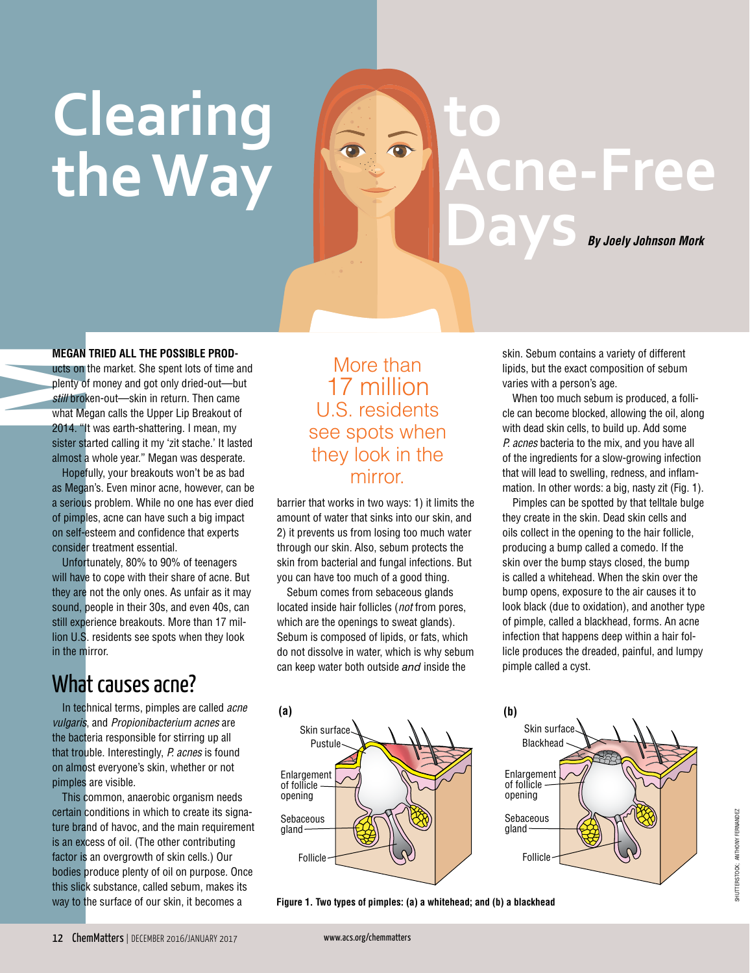# **Clearing the Way**

**to Acne-Free Days** *By Joely Johnson Mork*

**MEGAN TRIED ALL THE POSSIBLE PROD-**<br>wets on the market. She spent lots of time are<br>plenty of money and got only dried-out—but<br>still broken-out—skin in return. Then came<br>what Megan calls the Upper Lip Breakout of ucts on the market. She spent lots of time and plenty of money and got only dried-out—but *still* broken-out—skin in return. Then came 2014. "It was earth-shattering. I mean, my sister started calling it my 'zit stache.' It lasted almost a whole year." Megan was desperate.

> Hopefully, your breakouts won't be as bad as Megan's. Even minor acne, however, can be a serious problem. While no one has ever died of pimples, acne can have such a big impact on self-esteem and confidence that experts consider treatment essential.

Unfortunately, 80% to 90% of teenagers will have to cope with their share of acne. But they are not the only ones. As unfair as it may sound, people in their 30s, and even 40s, can still experience breakouts. More than 17 million U.S. residents see spots when they look in the mirror.

#### What causes acne?

In technical terms, pimples are called *acne vulgaris*, and *Propionibacterium acnes* are the bacteria responsible for stirring up all that trouble. Interestingly, *P. acnes* is found on almost everyone's skin, whether or not pimples are visible.

This common, anaerobic organism needs certain conditions in which to create its signature brand of havoc, and the main requirement is an excess of oil. (The other contributing factor is an overgrowth of skin cells.) Our bodies produce plenty of oil on purpose. Once this slick substance, called sebum, makes its

#### More than 17 million U.S. residents see spots when they look in the mirror.

barrier that works in two ways: 1) it limits the amount of water that sinks into our skin, and 2) it prevents us from losing too much water through our skin. Also, sebum protects the skin from bacterial and fungal infections. But you can have too much of a good thing.

Sebum comes from sebaceous glands located inside hair follicles (*not* from pores, which are the openings to sweat glands). Sebum is composed of lipids, or fats, which do not dissolve in water, which is why sebum can keep water both outside *and* inside the



way to the surface of our skin, it becomes a **Figure 1. Two types of pimples: (a) a whitehead; and (b) a blackhead**

skin. Sebum contains a variety of different lipids, but the exact composition of sebum varies with a person's age.

When too much sebum is produced, a follicle can become blocked, allowing the oil, along with dead skin cells, to build up. Add some *P. acnes* bacteria to the mix, and you have all of the ingredients for a slow-growing infection that will lead to swelling, redness, and inflammation. In other words: a big, nasty zit (Fig. 1).

Pimples can be spotted by that telltale bulge they create in the skin. Dead skin cells and oils collect in the opening to the hair follicle, producing a bump called a comedo. If the skin over the bump stays closed, the bump is called a whitehead. When the skin over the bump opens, exposure to the air causes it to look black (due to oxidation), and another type of pimple, called a blackhead, forms. An acne infection that happens deep within a hair follicle produces the dreaded, painful, and lumpy pimple called a cyst.